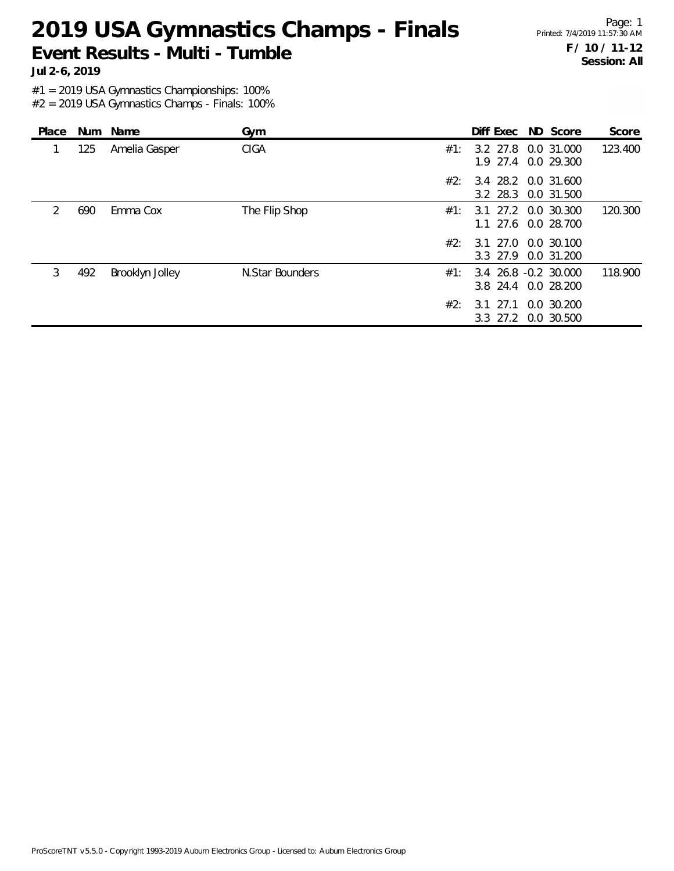Page: 1 Printed: 7/4/2019 11:57:30 AM **F / 10 / 11-12 Session: All**

**Jul 2-6, 2019**

#1 = 2019 USA Gymnastics Championships: 100%

| Place         |     | Num Name        | Gym             | Score<br>Diff Exec ND Score                                   |
|---------------|-----|-----------------|-----------------|---------------------------------------------------------------|
|               | 125 | Amelia Gasper   | <b>CIGA</b>     | 123.400<br>3.2 27.8 0.0 31.000<br>#1:<br>1.9 27.4 0.0 29.300  |
|               |     |                 |                 | 3.4 28.2 0.0 31.600<br>#2:<br>3.2 28.3 0.0 31.500             |
| $\mathcal{P}$ | 690 | Emma Cox        | The Flip Shop   | 120.300<br>3.1 27.2 0.0 30.300<br>#1:<br>1.1 27.6 0.0 28.700  |
|               |     |                 |                 | #2:<br>3.1 27.0 0.0 30.100<br>3.3 27.9<br>0.0 31.200          |
| 3             | 492 | Brooklyn Jolley | N.Star Bounders | 118,900<br>3.4 26.8 -0.2 30.000<br>#1:<br>3.8 24.4 0.0 28.200 |
|               |     |                 |                 | #2:<br>0.0 30.200<br>3.1 27.1<br>3.3 27.2 0.0 30.500          |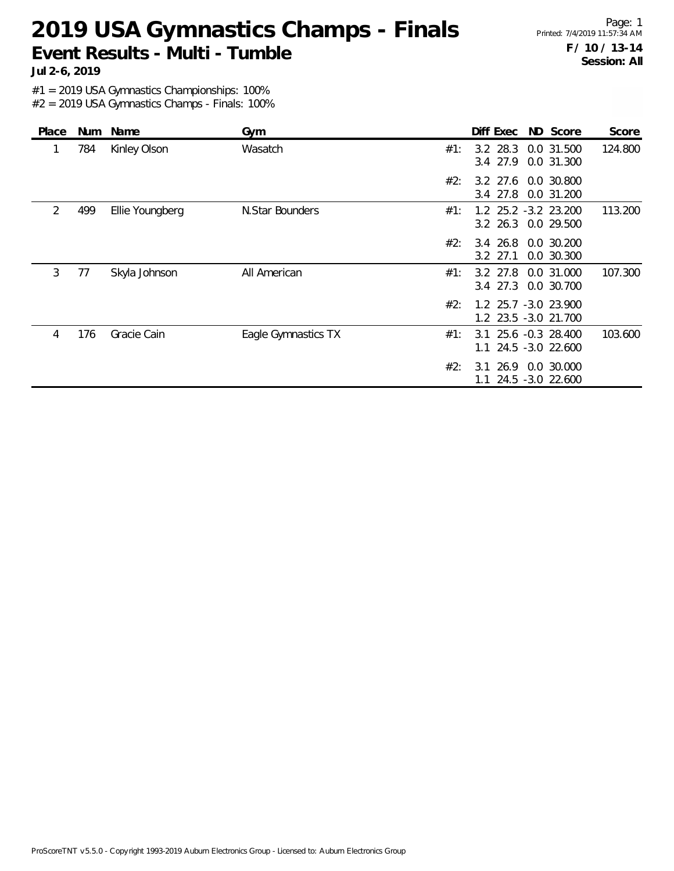Page: 1 Printed: 7/4/2019 11:57:34 AM **F / 10 / 13-14 Session: All**

**Jul 2-6, 2019**

#1 = 2019 USA Gymnastics Championships: 100%

| Place | <b>Num</b> | Name            | Gym                 |     | Diff Exec              | ND Score                                     | Score   |
|-------|------------|-----------------|---------------------|-----|------------------------|----------------------------------------------|---------|
| 1     | 784        | Kinley Olson    | Wasatch             | #1: | 3.2 28.3<br>3.4 27.9   | 0.0 31.500<br>0.0 31.300                     | 124.800 |
|       |            |                 |                     | #2: | 3.4 27.8               | 3.2 27.6 0.0 30.800<br>0.0 31.200            |         |
| 2     | 499        | Ellie Youngberg | N.Star Bounders     | #1: |                        | 1.2 25.2 -3.2 23.200<br>3.2 26.3 0.0 29.500  | 113.200 |
|       |            |                 |                     | #2: | 3.4 26.8<br>$3.2$ 27.1 | 0.0 30.200<br>0.0 30.300                     |         |
| 3     | 77         | Skyla Johnson   | All American        | #1: | 3.2 27.8<br>$3.4$ 27.3 | 0.0 31.000<br>0.0 30.700                     | 107.300 |
|       |            |                 |                     | #2: |                        | 1.2 25.7 -3.0 23.900<br>1.2 23.5 -3.0 21.700 |         |
| 4     | 176        | Gracie Cain     | Eagle Gymnastics TX | #1: | 3.1<br>1.1             | 25.6 -0.3 28.400<br>24.5 -3.0 22.600         | 103.600 |
|       |            |                 |                     | #2: | 26.9<br>3.1<br>1.1     | 0.0 30.000<br>24.5 -3.0 22.600               |         |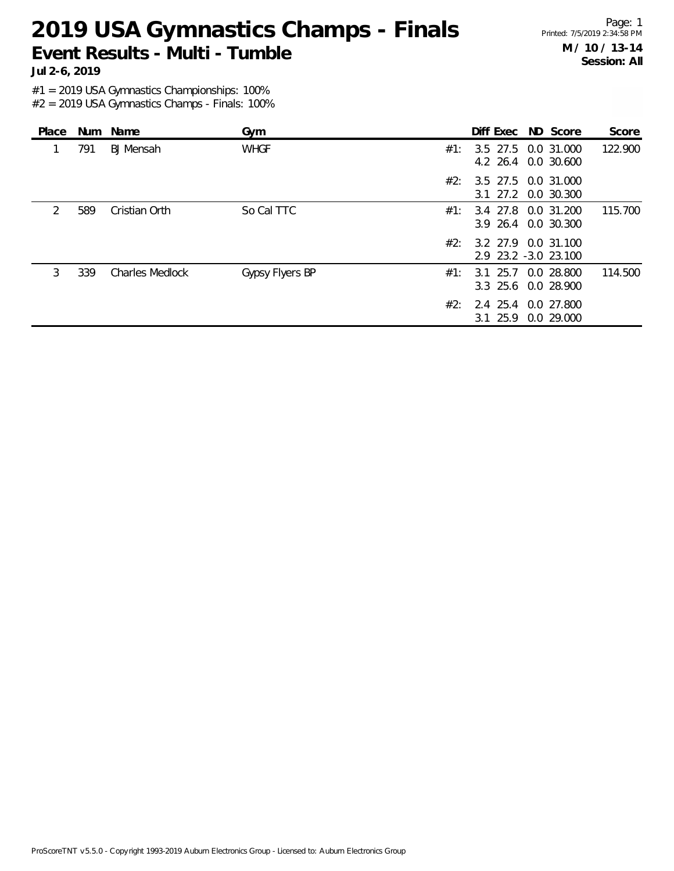Page: 1 Printed: 7/5/2019 2:34:58 PM **M / 10 / 13-14 Session: All**

**Jul 2-6, 2019**

#1 = 2019 USA Gymnastics Championships: 100%

| Place         |     | Num Name               | Gym             |     |              | Diff Exec ND Score                          | Score   |
|---------------|-----|------------------------|-----------------|-----|--------------|---------------------------------------------|---------|
|               | 791 | <b>BJ</b> Mensah       | <b>WHGF</b>     | #1: |              | 3.5 27.5 0.0 31.000<br>4.2 26.4 0.0 30.600  | 122.900 |
|               |     |                        |                 | #2: |              | 3.5 27.5 0.0 31.000<br>3.1 27.2 0.0 30.300  |         |
| $\mathcal{P}$ | 589 | Cristian Orth          | So Cal TTC      | #1: |              | 3.4 27.8 0.0 31.200<br>3.9 26.4 0.0 30.300  | 115.700 |
|               |     |                        |                 | #2: |              | 3.2 27.9 0.0 31.100<br>2.9 23.2 -3.0 23.100 |         |
| 3             | 339 | <b>Charles Medlock</b> | Gypsy Flyers BP | #1: |              | 3.1 25.7 0.0 28.800<br>3.3 25.6 0.0 28.900  | 114.500 |
|               |     |                        |                 | #2: | $3.1 \ 25.9$ | 2.4 25.4 0.0 27.800<br>0.0 29.000           |         |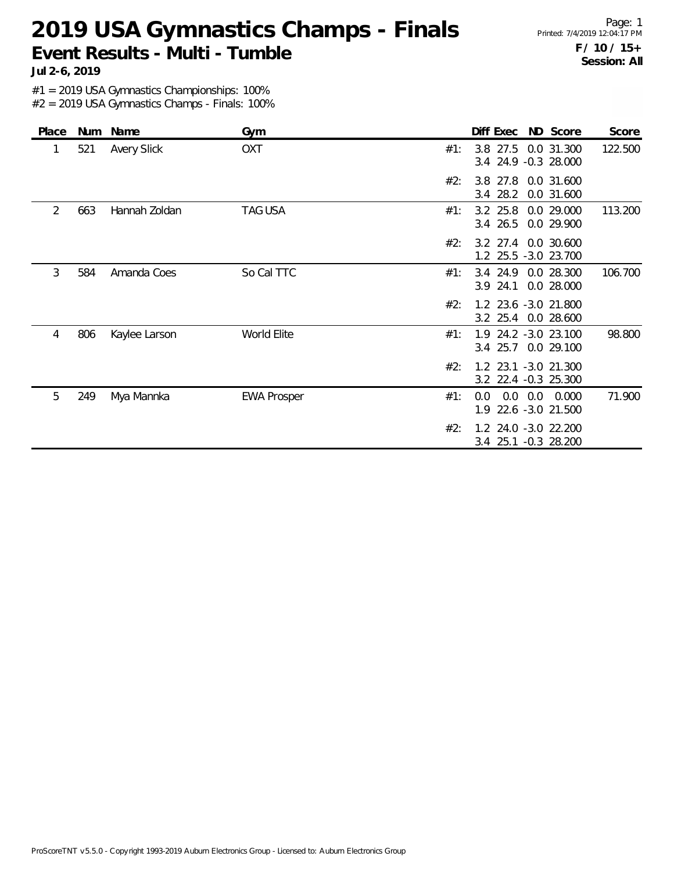Page: 1 Printed: 7/4/2019 12:04:17 PM **F / 10 / 15+ Session: All**

**Jul 2-6, 2019**

#1 = 2019 USA Gymnastics Championships: 100%

| Place | Num | Name               | Gym                |     | Diff Exec ND Score                                    | Score   |
|-------|-----|--------------------|--------------------|-----|-------------------------------------------------------|---------|
|       | 521 | <b>Avery Slick</b> | <b>OXT</b>         | #1: | 3.8 27.5 0.0 31.300<br>3.4 24.9 -0.3 28.000           | 122.500 |
|       |     |                    |                    | #2: | 3.8 27.8<br>0.0 31.600<br>3.4 28.2<br>0.0 31.600      |         |
| 2     | 663 | Hannah Zoldan      | <b>TAG USA</b>     | #1: | 3.2 25.8 0.0 29.000<br>3.4 26.5 0.0 29.900            | 113.200 |
|       |     |                    |                    | #2: | 3.2 27.4 0.0 30.600<br>1.2 25.5 -3.0 23.700           |         |
| 3     | 584 | Amanda Coes        | So Cal TTC         | #1: | 3.4 24.9<br>0.0 28.300<br>3.9 24.1<br>0.0 28.000      | 106.700 |
|       |     |                    |                    | #2: | 1.2 23.6 -3.0 21.800<br>3.2 25.4 0.0 28.600           |         |
| 4     | 806 | Kaylee Larson      | World Elite        | #1: | 1.9 24.2 -3.0 23.100<br>3.4 25.7 0.0 29.100           | 98.800  |
|       |     |                    |                    | #2: | 1.2 23.1 -3.0 21.300<br>3.2 22.4 -0.3 25.300          |         |
| 5     | 249 | Mya Mannka         | <b>EWA Prosper</b> | #1: | $0.0$ $0.0$ $0.000$<br>0.0<br>1.9<br>22.6 -3.0 21.500 | 71.900  |
|       |     |                    |                    | #2: | 1.2 24.0 -3.0 22.200<br>$3.4$ 25.1<br>$-0.3$ 28.200   |         |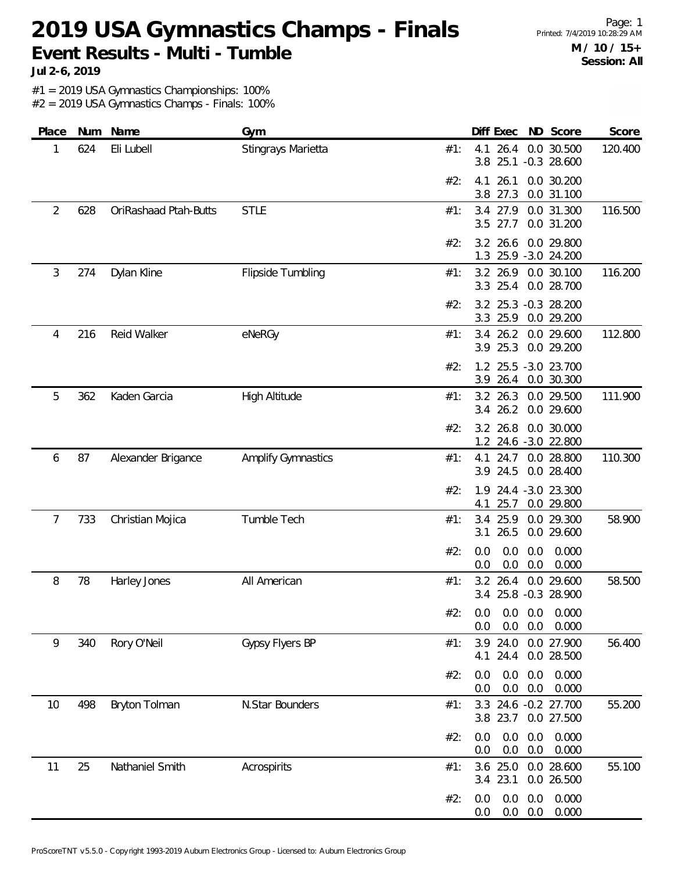Page: 1 Printed: 7/4/2019 10:28:29 AM **M / 10 / 15+ Session: All**

**Jul 2-6, 2019**

#1 = 2019 USA Gymnastics Championships: 100%

| Place          | Num | Name                  | Gym                       |     | Diff Exec                    | ND Score                                | Score   |
|----------------|-----|-----------------------|---------------------------|-----|------------------------------|-----------------------------------------|---------|
| 1              | 624 | Eli Lubell            | Stingrays Marietta        | #1: | 4.1                          | 26.4 0.0 30.500<br>3.8 25.1 -0.3 28.600 | 120.400 |
|                |     |                       |                           | #2: | 4.1<br>26.1<br>3.8 27.3      | 0.0 30.200<br>0.0 31.100                |         |
| $\overline{2}$ | 628 | OriRashaad Ptah-Butts | <b>STLE</b>               | #1: | 3.4 27.9<br>3.5 27.7         | 0.0 31.300<br>0.0 31.200                | 116.500 |
|                |     |                       |                           | #2: | 26.6<br>3.2<br>1.3           | 0.0 29.800<br>25.9 -3.0 24.200          |         |
| 3              | 274 | Dylan Kline           | Flipside Tumbling         | #1: | 3.2 26.9<br>3.3 25.4         | 0.0 30.100<br>0.0 28.700                | 116.200 |
|                |     |                       |                           | #2: | 3.3 25.9                     | 3.2 25.3 -0.3 28.200<br>0.0 29.200      |         |
| 4              | 216 | Reid Walker           | eNeRGy                    | #1: | 3.4<br>26.2<br>3.9 25.3      | 0.0 29.600<br>0.0 29.200                | 112.800 |
|                |     |                       |                           | #2: | 3.9 26.4                     | 1.2 25.5 -3.0 23.700<br>0.0 30.300      |         |
| 5              | 362 | Kaden Garcia          | High Altitude             | #1: | 3.2 26.3<br>3.4 26.2         | 0.0 29.500<br>0.0 29.600                | 111.900 |
|                |     |                       |                           | #2: | 3.2 26.8                     | 0.0 30.000<br>1.2 24.6 -3.0 22.800      |         |
| 6              | 87  | Alexander Brigance    | <b>Amplify Gymnastics</b> | #1: | 4.1<br>24.7<br>3.9 24.5      | 0.0 28.800<br>0.0 28.400                | 110.300 |
|                |     |                       |                           | #2: | 1.9<br>25.7<br>4.1           | 24.4 -3.0 23.300<br>0.0 29.800          |         |
| 7              | 733 | Christian Mojica      | Tumble Tech               | #1: | 25.9<br>3.4<br>26.5<br>3.1   | 0.0 29.300<br>0.0 29.600                | 58.900  |
|                |     |                       |                           | #2: | 0.0<br>0.0<br>0.0<br>0.0     | 0.0<br>0.000<br>0.0<br>0.000            |         |
| 8              | 78  | Harley Jones          | All American              | #1: | 3.2 26.4                     | 0.0 29.600<br>3.4 25.8 -0.3 28.900      | 58.500  |
|                |     |                       |                           | #2: | 0.0<br>0.0<br>0.0<br>0.0     | 0.0<br>0.000<br>0.0<br>0.000            |         |
| 9              | 340 | Rory O'Neil           | Gypsy Flyers BP           | #1: | 3.9<br>24.0<br>24.4<br>4.1   | 0.0 27.900<br>0.0 28.500                | 56.400  |
|                |     |                       |                           | #2: | 0.0<br>0.0<br>0.0<br>0.0     | 0.0<br>0.000<br>0.0<br>0.000            |         |
| 10             | 498 | Bryton Tolman         | N.Star Bounders           | #1: | 3.8<br>23.7                  | 3.3 24.6 -0.2 27.700<br>0.0 27.500      | 55.200  |
|                |     |                       |                           | #2: | 0.0<br>0.0<br>0.0<br>$0.0\,$ | 0.0<br>0.000<br>0.0<br>0.000            |         |
| 11             | 25  | Nathaniel Smith       | Acrospirits               | #1: | 3.6 25.0<br>3.4 23.1         | 0.0 28.600<br>0.0 26.500                | 55.100  |
|                |     |                       |                           | #2: | 0.0<br>0.0<br>0.0<br>0.0     | 0.0<br>0.000<br>0.0<br>0.000            |         |